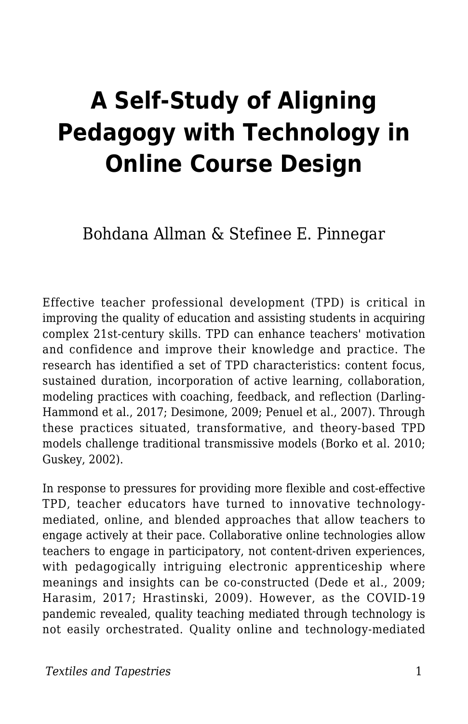# **A Self-Study of Aligning Pedagogy with Technology in Online Course Design**

Bohdana Allman & Stefinee E. Pinnegar

Effective teacher professional development (TPD) is critical in improving the quality of education and assisting students in acquiring complex 21st-century skills. TPD can enhance teachers' motivation and confidence and improve their knowledge and practice. The research has identified a set of TPD characteristics: content focus, sustained duration, incorporation of active learning, collaboration, modeling practices with coaching, feedback, and reflection (Darling-Hammond et al., 2017; Desimone, 2009; Penuel et al., 2007). Through these practices situated, transformative, and theory-based TPD models challenge traditional transmissive models (Borko et al. 2010; Guskey, 2002).

In response to pressures for providing more flexible and cost-effective TPD, teacher educators have turned to innovative technologymediated, online, and blended approaches that allow teachers to engage actively at their pace. Collaborative online technologies allow teachers to engage in participatory, not content-driven experiences, with pedagogically intriguing electronic apprenticeship where meanings and insights can be co-constructed (Dede et al., 2009; Harasim, 2017; Hrastinski, 2009). However, as the COVID-19 pandemic revealed, quality teaching mediated through technology is not easily orchestrated. Quality online and technology-mediated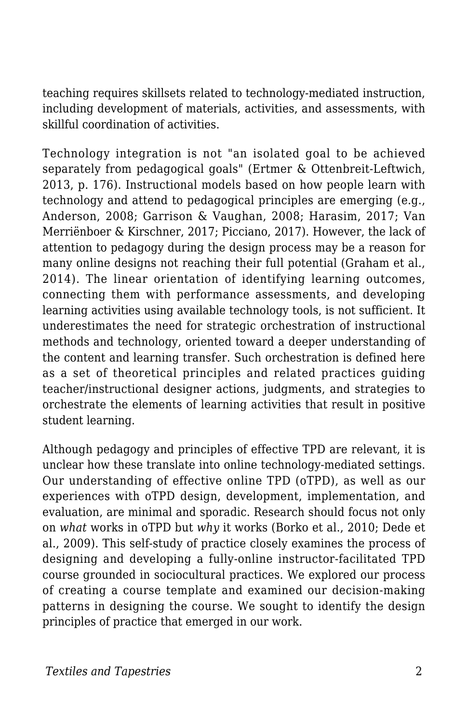teaching requires skillsets related to technology-mediated instruction, including development of materials, activities, and assessments, with skillful coordination of activities.

Technology integration is not "an isolated goal to be achieved separately from pedagogical goals" (Ertmer & Ottenbreit-Leftwich, 2013, p. 176). Instructional models based on how people learn with technology and attend to pedagogical principles are emerging (e.g., Anderson, 2008; Garrison & Vaughan, 2008; Harasim, 2017; Van Merriënboer & Kirschner, 2017; Picciano, 2017). However, the lack of attention to pedagogy during the design process may be a reason for many online designs not reaching their full potential (Graham et al., 2014). The linear orientation of identifying learning outcomes, connecting them with performance assessments, and developing learning activities using available technology tools, is not sufficient. It underestimates the need for strategic orchestration of instructional methods and technology, oriented toward a deeper understanding of the content and learning transfer. Such orchestration is defined here as a set of theoretical principles and related practices guiding teacher/instructional designer actions, judgments, and strategies to orchestrate the elements of learning activities that result in positive student learning.

Although pedagogy and principles of effective TPD are relevant, it is unclear how these translate into online technology-mediated settings. Our understanding of effective online TPD (oTPD), as well as our experiences with oTPD design, development, implementation, and evaluation, are minimal and sporadic. Research should focus not only on *what* works in oTPD but *why* it works (Borko et al., 2010; Dede et al., 2009). This self-study of practice closely examines the process of designing and developing a fully-online instructor-facilitated TPD course grounded in sociocultural practices. We explored our process of creating a course template and examined our decision-making patterns in designing the course. We sought to identify the design principles of practice that emerged in our work.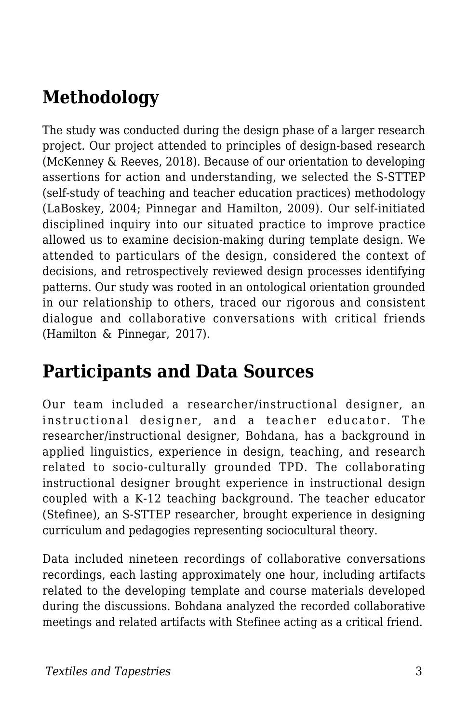# **Methodology**

The study was conducted during the design phase of a larger research project. Our project attended to principles of design-based research (McKenney & Reeves, 2018). Because of our orientation to developing assertions for action and understanding, we selected the S-STTEP (self-study of teaching and teacher education practices) methodology (LaBoskey, 2004; Pinnegar and Hamilton, 2009). Our self-initiated disciplined inquiry into our situated practice to improve practice allowed us to examine decision-making during template design. We attended to particulars of the design, considered the context of decisions, and retrospectively reviewed design processes identifying patterns. Our study was rooted in an ontological orientation grounded in our relationship to others, traced our rigorous and consistent dialogue and collaborative conversations with critical friends (Hamilton & Pinnegar, 2017).

#### **Participants and Data Sources**

Our team included a researcher/instructional designer, an instructional designer, and a teacher educator. The researcher/instructional designer, Bohdana, has a background in applied linguistics, experience in design, teaching, and research related to socio-culturally grounded TPD. The collaborating instructional designer brought experience in instructional design coupled with a K-12 teaching background. The teacher educator (Stefinee), an S-STTEP researcher, brought experience in designing curriculum and pedagogies representing sociocultural theory.

Data included nineteen recordings of collaborative conversations recordings, each lasting approximately one hour, including artifacts related to the developing template and course materials developed during the discussions. Bohdana analyzed the recorded collaborative meetings and related artifacts with Stefinee acting as a critical friend.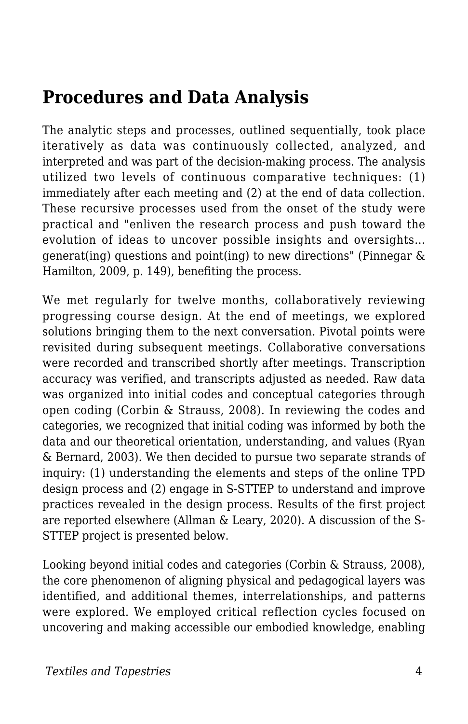### **Procedures and Data Analysis**

The analytic steps and processes, outlined sequentially, took place iteratively as data was continuously collected, analyzed, and interpreted and was part of the decision-making process. The analysis utilized two levels of continuous comparative techniques: (1) immediately after each meeting and (2) at the end of data collection. These recursive processes used from the onset of the study were practical and "enliven the research process and push toward the evolution of ideas to uncover possible insights and oversights… generat(ing) questions and point(ing) to new directions" (Pinnegar & Hamilton, 2009, p. 149), benefiting the process.

We met regularly for twelve months, collaboratively reviewing progressing course design. At the end of meetings, we explored solutions bringing them to the next conversation. Pivotal points were revisited during subsequent meetings. Collaborative conversations were recorded and transcribed shortly after meetings. Transcription accuracy was verified, and transcripts adjusted as needed. Raw data was organized into initial codes and conceptual categories through open coding (Corbin & Strauss, 2008). In reviewing the codes and categories, we recognized that initial coding was informed by both the data and our theoretical orientation, understanding, and values (Ryan & Bernard, 2003). We then decided to pursue two separate strands of inquiry: (1) understanding the elements and steps of the online TPD design process and (2) engage in S-STTEP to understand and improve practices revealed in the design process. Results of the first project are reported elsewhere (Allman & Leary, 2020). A discussion of the S-STTEP project is presented below.

Looking beyond initial codes and categories (Corbin & Strauss, 2008), the core phenomenon of aligning physical and pedagogical layers was identified, and additional themes, interrelationships, and patterns were explored. We employed critical reflection cycles focused on uncovering and making accessible our embodied knowledge, enabling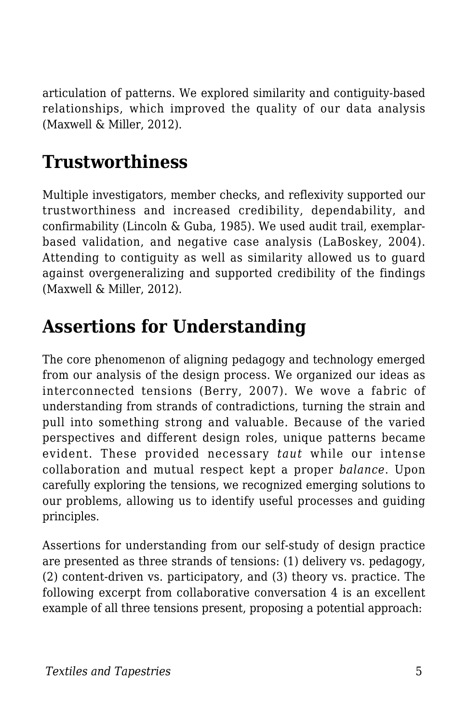articulation of patterns. We explored similarity and contiguity-based relationships, which improved the quality of our data analysis (Maxwell & Miller, 2012).

# **Trustworthiness**

Multiple investigators, member checks, and reflexivity supported our trustworthiness and increased credibility, dependability, and confirmability (Lincoln & Guba, 1985). We used audit trail, exemplarbased validation, and negative case analysis (LaBoskey, 2004). Attending to contiguity as well as similarity allowed us to guard against overgeneralizing and supported credibility of the findings (Maxwell & Miller, 2012).

### **Assertions for Understanding**

The core phenomenon of aligning pedagogy and technology emerged from our analysis of the design process. We organized our ideas as interconnected tensions (Berry, 2007). We wove a fabric of understanding from strands of contradictions, turning the strain and pull into something strong and valuable. Because of the varied perspectives and different design roles, unique patterns became evident. These provided necessary *taut* while our intense collaboration and mutual respect kept a proper *balance*. Upon carefully exploring the tensions, we recognized emerging solutions to our problems, allowing us to identify useful processes and guiding principles.

Assertions for understanding from our self-study of design practice are presented as three strands of tensions: (1) delivery vs. pedagogy, (2) content-driven vs. participatory, and (3) theory vs. practice. The following excerpt from collaborative conversation 4 is an excellent example of all three tensions present, proposing a potential approach: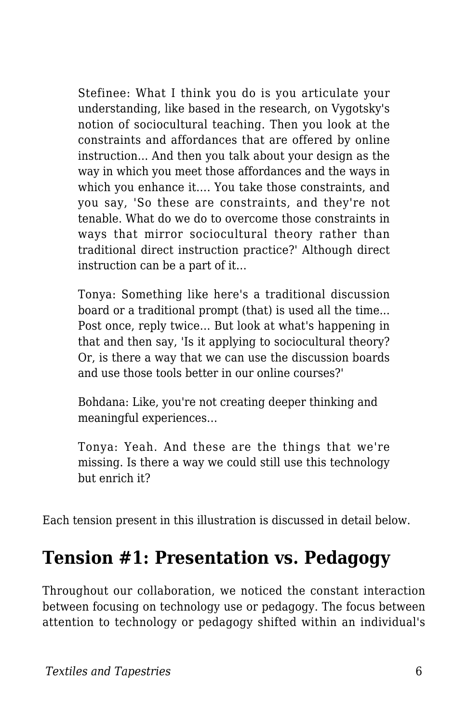Stefinee: What I think you do is you articulate your understanding, like based in the research, on Vygotsky's notion of sociocultural teaching. Then you look at the constraints and affordances that are offered by online instruction... And then you talk about your design as the way in which you meet those affordances and the ways in which you enhance it…. You take those constraints, and you say, 'So these are constraints, and they're not tenable. What do we do to overcome those constraints in ways that mirror sociocultural theory rather than traditional direct instruction practice?' Although direct instruction can be a part of it…

Tonya: Something like here's a traditional discussion board or a traditional prompt (that) is used all the time... Post once, reply twice… But look at what's happening in that and then say, 'Is it applying to sociocultural theory? Or, is there a way that we can use the discussion boards and use those tools better in our online courses?'

Bohdana: Like, you're not creating deeper thinking and meaningful experiences…

Tonya: Yeah. And these are the things that we're missing. Is there a way we could still use this technology but enrich it?

Each tension present in this illustration is discussed in detail below.

#### **Tension #1: Presentation vs. Pedagogy**

Throughout our collaboration, we noticed the constant interaction between focusing on technology use or pedagogy. The focus between attention to technology or pedagogy shifted within an individual's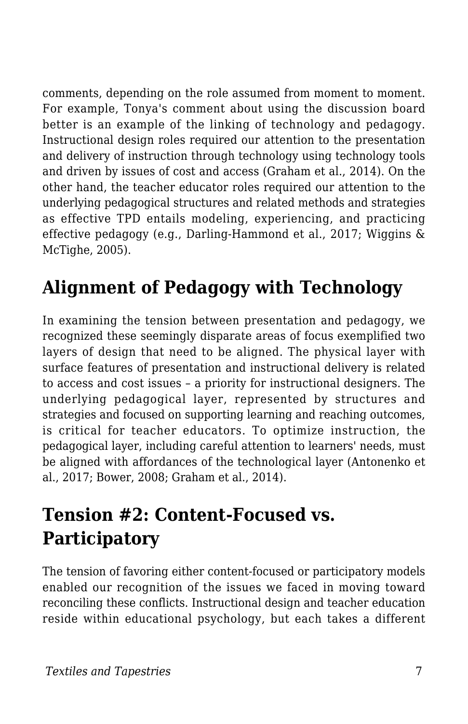comments, depending on the role assumed from moment to moment. For example, Tonya's comment about using the discussion board better is an example of the linking of technology and pedagogy. Instructional design roles required our attention to the presentation and delivery of instruction through technology using technology tools and driven by issues of cost and access (Graham et al., 2014). On the other hand, the teacher educator roles required our attention to the underlying pedagogical structures and related methods and strategies as effective TPD entails modeling, experiencing, and practicing effective pedagogy (e.g., Darling-Hammond et al., 2017; Wiggins & McTighe, 2005).

# **Alignment of Pedagogy with Technology**

In examining the tension between presentation and pedagogy, we recognized these seemingly disparate areas of focus exemplified two layers of design that need to be aligned. The physical layer with surface features of presentation and instructional delivery is related to access and cost issues – a priority for instructional designers. The underlying pedagogical layer, represented by structures and strategies and focused on supporting learning and reaching outcomes, is critical for teacher educators. To optimize instruction, the pedagogical layer, including careful attention to learners' needs, must be aligned with affordances of the technological layer (Antonenko et al., 2017; Bower, 2008; Graham et al., 2014).

# **Tension #2: Content-Focused vs. Participatory**

The tension of favoring either content-focused or participatory models enabled our recognition of the issues we faced in moving toward reconciling these conflicts. Instructional design and teacher education reside within educational psychology, but each takes a different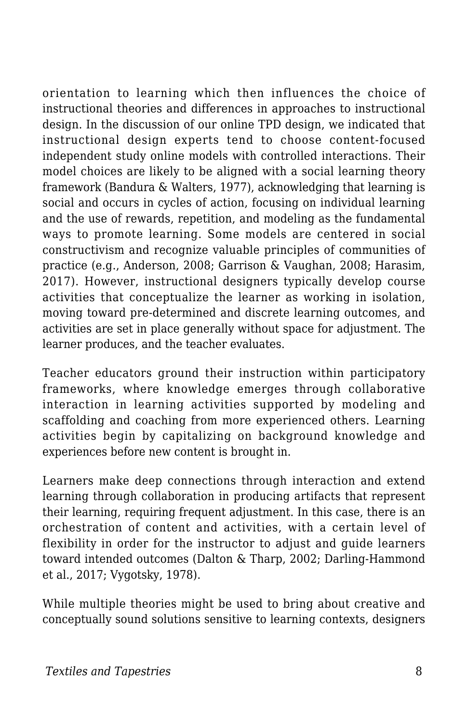orientation to learning which then influences the choice of instructional theories and differences in approaches to instructional design. In the discussion of our online TPD design, we indicated that instructional design experts tend to choose content-focused independent study online models with controlled interactions. Their model choices are likely to be aligned with a social learning theory framework (Bandura & Walters, 1977), acknowledging that learning is social and occurs in cycles of action, focusing on individual learning and the use of rewards, repetition, and modeling as the fundamental ways to promote learning. Some models are centered in social constructivism and recognize valuable principles of communities of practice (e.g., Anderson, 2008; Garrison & Vaughan, 2008; Harasim, 2017). However, instructional designers typically develop course activities that conceptualize the learner as working in isolation, moving toward pre-determined and discrete learning outcomes, and activities are set in place generally without space for adjustment. The learner produces, and the teacher evaluates.

Teacher educators ground their instruction within participatory frameworks, where knowledge emerges through collaborative interaction in learning activities supported by modeling and scaffolding and coaching from more experienced others. Learning activities begin by capitalizing on background knowledge and experiences before new content is brought in.

Learners make deep connections through interaction and extend learning through collaboration in producing artifacts that represent their learning, requiring frequent adjustment. In this case, there is an orchestration of content and activities, with a certain level of flexibility in order for the instructor to adjust and guide learners toward intended outcomes (Dalton & Tharp, 2002; Darling-Hammond et al., 2017; Vygotsky, 1978).

While multiple theories might be used to bring about creative and conceptually sound solutions sensitive to learning contexts, designers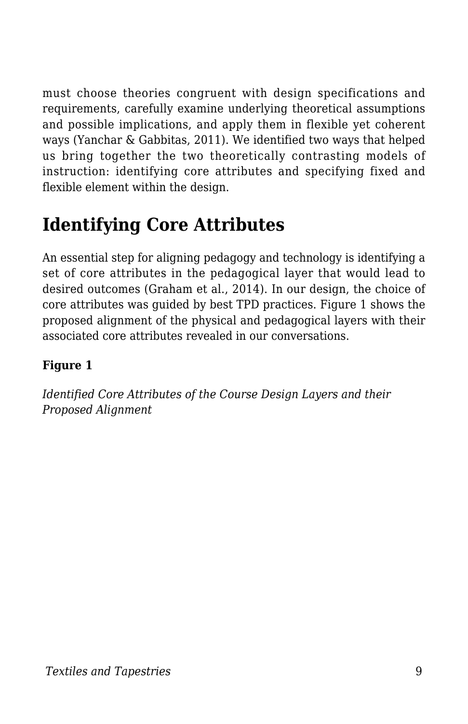must choose theories congruent with design specifications and requirements, carefully examine underlying theoretical assumptions and possible implications, and apply them in flexible yet coherent ways (Yanchar & Gabbitas, 2011). We identified two ways that helped us bring together the two theoretically contrasting models of instruction: identifying core attributes and specifying fixed and flexible element within the design.

# **Identifying Core Attributes**

An essential step for aligning pedagogy and technology is identifying a set of core attributes in the pedagogical layer that would lead to desired outcomes (Graham et al., 2014). In our design, the choice of core attributes was guided by best TPD practices. Figure 1 shows the proposed alignment of the physical and pedagogical layers with their associated core attributes revealed in our conversations.

#### **Figure 1**

*Identified Core Attributes of the Course Design Layers and their Proposed Alignment*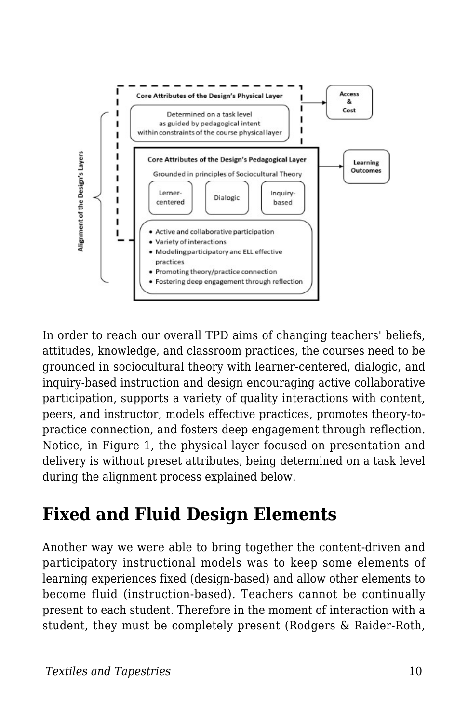

In order to reach our overall TPD aims of changing teachers' beliefs, attitudes, knowledge, and classroom practices, the courses need to be grounded in sociocultural theory with learner-centered, dialogic, and inquiry-based instruction and design encouraging active collaborative participation, supports a variety of quality interactions with content, peers, and instructor, models effective practices, promotes theory-topractice connection, and fosters deep engagement through reflection. Notice, in Figure 1, the physical layer focused on presentation and delivery is without preset attributes, being determined on a task level during the alignment process explained below.

# **Fixed and Fluid Design Elements**

Another way we were able to bring together the content-driven and participatory instructional models was to keep some elements of learning experiences fixed (design-based) and allow other elements to become fluid (instruction-based). Teachers cannot be continually present to each student. Therefore in the moment of interaction with a student, they must be completely present (Rodgers & Raider-Roth,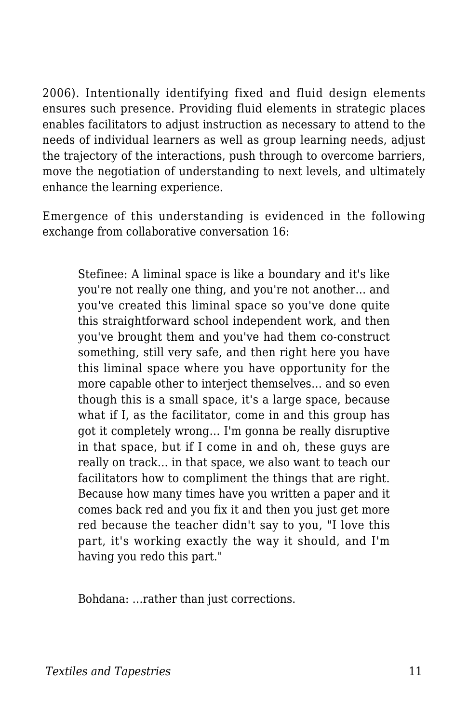2006). Intentionally identifying fixed and fluid design elements ensures such presence. Providing fluid elements in strategic places enables facilitators to adjust instruction as necessary to attend to the needs of individual learners as well as group learning needs, adjust the trajectory of the interactions, push through to overcome barriers, move the negotiation of understanding to next levels, and ultimately enhance the learning experience.

Emergence of this understanding is evidenced in the following exchange from collaborative conversation 16:

Stefinee: A liminal space is like a boundary and it's like you're not really one thing, and you're not another… and you've created this liminal space so you've done quite this straightforward school independent work, and then you've brought them and you've had them co-construct something, still very safe, and then right here you have this liminal space where you have opportunity for the more capable other to interject themselves… and so even though this is a small space, it's a large space, because what if I, as the facilitator, come in and this group has got it completely wrong… I'm gonna be really disruptive in that space, but if I come in and oh, these guys are really on track… in that space, we also want to teach our facilitators how to compliment the things that are right. Because how many times have you written a paper and it comes back red and you fix it and then you just get more red because the teacher didn't say to you, "I love this part, it's working exactly the way it should, and I'm having you redo this part."

Bohdana: …rather than just corrections.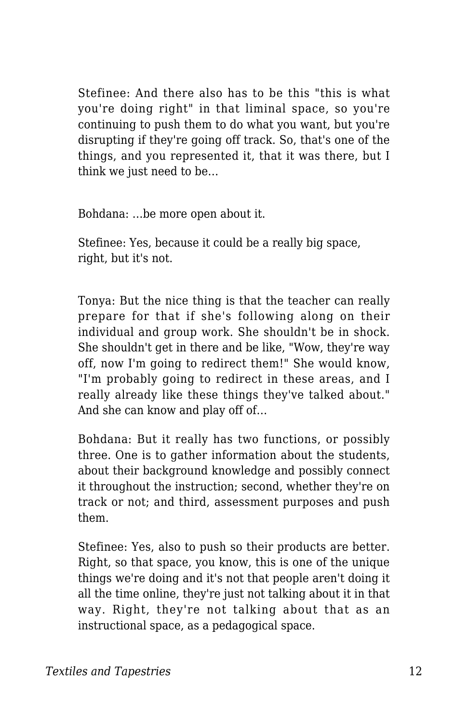Stefinee: And there also has to be this "this is what you're doing right" in that liminal space, so you're continuing to push them to do what you want, but you're disrupting if they're going off track. So, that's one of the things, and you represented it, that it was there, but I think we just need to be…

Bohdana: …be more open about it.

Stefinee: Yes, because it could be a really big space, right, but it's not.

Tonya: But the nice thing is that the teacher can really prepare for that if she's following along on their individual and group work. She shouldn't be in shock. She shouldn't get in there and be like, "Wow, they're way off, now I'm going to redirect them!" She would know, "I'm probably going to redirect in these areas, and I really already like these things they've talked about." And she can know and play off of…

Bohdana: But it really has two functions, or possibly three. One is to gather information about the students, about their background knowledge and possibly connect it throughout the instruction; second, whether they're on track or not; and third, assessment purposes and push them.

Stefinee: Yes, also to push so their products are better. Right, so that space, you know, this is one of the unique things we're doing and it's not that people aren't doing it all the time online, they're just not talking about it in that way. Right, they're not talking about that as an instructional space, as a pedagogical space.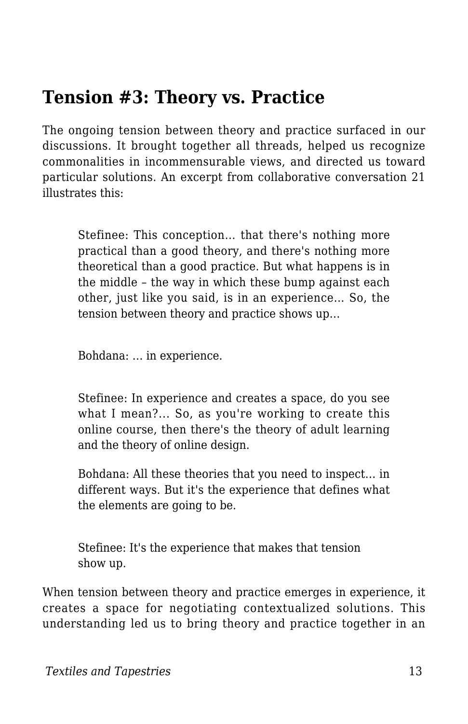#### **Tension #3: Theory vs. Practice**

The ongoing tension between theory and practice surfaced in our discussions. It brought together all threads, helped us recognize commonalities in incommensurable views, and directed us toward particular solutions. An excerpt from collaborative conversation 21 illustrates this:

Stefinee: This conception… that there's nothing more practical than a good theory, and there's nothing more theoretical than a good practice. But what happens is in the middle – the way in which these bump against each other, just like you said, is in an experience… So, the tension between theory and practice shows up…

Bohdana: … in experience.

Stefinee: In experience and creates a space, do you see what I mean?... So, as you're working to create this online course, then there's the theory of adult learning and the theory of online design.

Bohdana: All these theories that you need to inspect… in different ways. But it's the experience that defines what the elements are going to be.

Stefinee: It's the experience that makes that tension show up.

When tension between theory and practice emerges in experience, it creates a space for negotiating contextualized solutions. This understanding led us to bring theory and practice together in an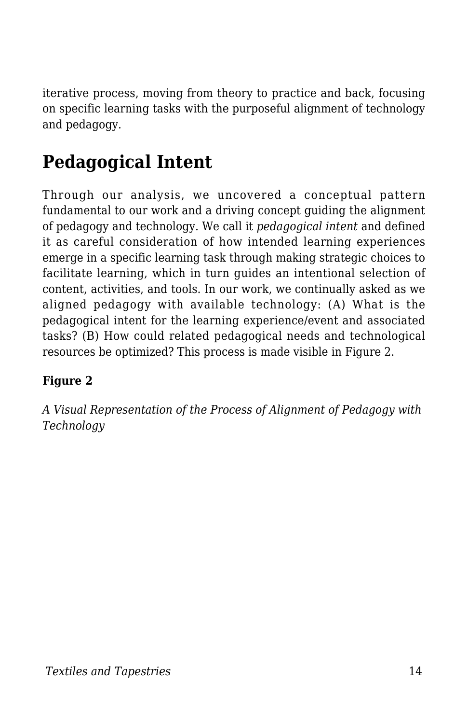iterative process, moving from theory to practice and back, focusing on specific learning tasks with the purposeful alignment of technology and pedagogy.

# **Pedagogical Intent**

Through our analysis, we uncovered a conceptual pattern fundamental to our work and a driving concept guiding the alignment of pedagogy and technology. We call it *pedagogical intent* and defined it as careful consideration of how intended learning experiences emerge in a specific learning task through making strategic choices to facilitate learning, which in turn guides an intentional selection of content, activities, and tools. In our work, we continually asked as we aligned pedagogy with available technology: (A) What is the pedagogical intent for the learning experience/event and associated tasks? (B) How could related pedagogical needs and technological resources be optimized? This process is made visible in Figure 2.

#### **Figure 2**

*A Visual Representation of the Process of Alignment of Pedagogy with Technology*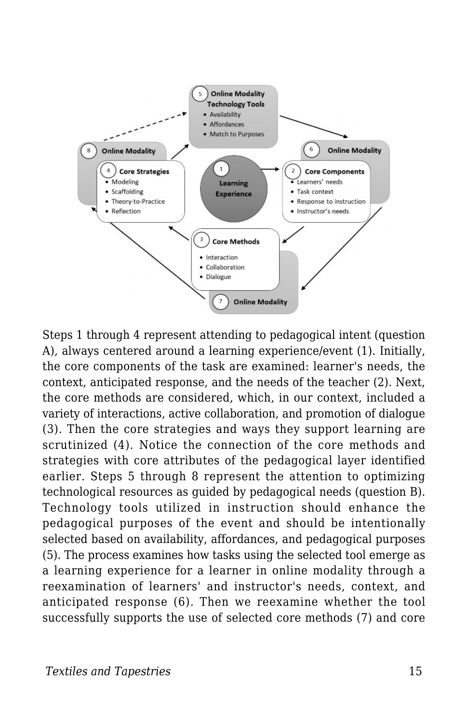

Steps 1 through 4 represent attending to pedagogical intent (question A), always centered around a learning experience/event (1). Initially, the core components of the task are examined: learner's needs, the context, anticipated response, and the needs of the teacher (2). Next, the core methods are considered, which, in our context, included a variety of interactions, active collaboration, and promotion of dialogue (3). Then the core strategies and ways they support learning are scrutinized (4). Notice the connection of the core methods and strategies with core attributes of the pedagogical layer identified earlier. Steps 5 through 8 represent the attention to optimizing technological resources as guided by pedagogical needs (question B). Technology tools utilized in instruction should enhance the pedagogical purposes of the event and should be intentionally selected based on availability, affordances, and pedagogical purposes (5). The process examines how tasks using the selected tool emerge as a learning experience for a learner in online modality through a reexamination of learners' and instructor's needs, context, and anticipated response (6). Then we reexamine whether the tool successfully supports the use of selected core methods (7) and core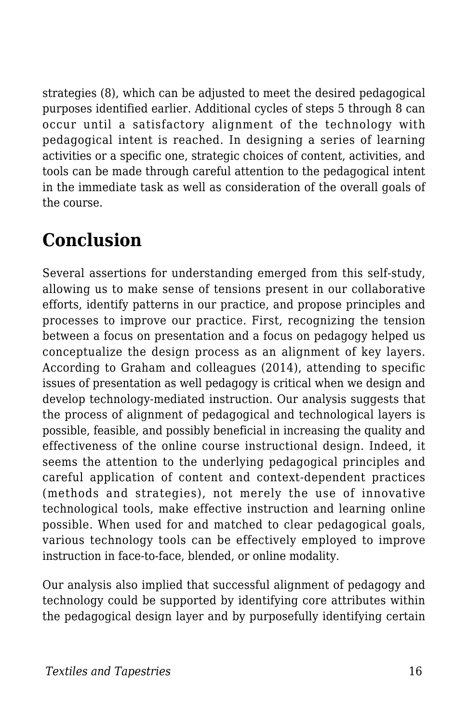strategies (8), which can be adjusted to meet the desired pedagogical purposes identified earlier. Additional cycles of steps 5 through 8 can occur until a satisfactory alignment of the technology with pedagogical intent is reached. In designing a series of learning activities or a specific one, strategic choices of content, activities, and tools can be made through careful attention to the pedagogical intent in the immediate task as well as consideration of the overall goals of the course.

# **Conclusion**

Several assertions for understanding emerged from this self-study, allowing us to make sense of tensions present in our collaborative efforts, identify patterns in our practice, and propose principles and processes to improve our practice. First, recognizing the tension between a focus on presentation and a focus on pedagogy helped us conceptualize the design process as an alignment of key layers. According to Graham and colleagues (2014), attending to specific issues of presentation as well pedagogy is critical when we design and develop technology-mediated instruction. Our analysis suggests that the process of alignment of pedagogical and technological layers is possible, feasible, and possibly beneficial in increasing the quality and effectiveness of the online course instructional design. Indeed, it seems the attention to the underlying pedagogical principles and careful application of content and context-dependent practices (methods and strategies), not merely the use of innovative technological tools, make effective instruction and learning online possible. When used for and matched to clear pedagogical goals, various technology tools can be effectively employed to improve instruction in face-to-face, blended, or online modality.

Our analysis also implied that successful alignment of pedagogy and technology could be supported by identifying core attributes within the pedagogical design layer and by purposefully identifying certain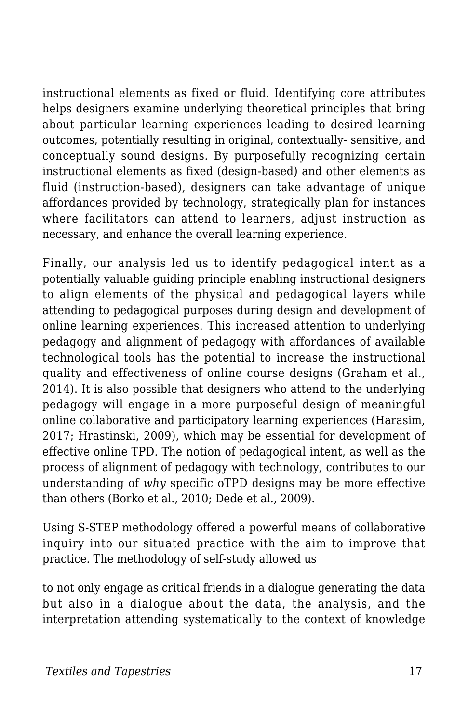instructional elements as fixed or fluid. Identifying core attributes helps designers examine underlying theoretical principles that bring about particular learning experiences leading to desired learning outcomes, potentially resulting in original, contextually- sensitive, and conceptually sound designs. By purposefully recognizing certain instructional elements as fixed (design-based) and other elements as fluid (instruction-based), designers can take advantage of unique affordances provided by technology, strategically plan for instances where facilitators can attend to learners, adjust instruction as necessary, and enhance the overall learning experience.

Finally, our analysis led us to identify pedagogical intent as a potentially valuable guiding principle enabling instructional designers to align elements of the physical and pedagogical layers while attending to pedagogical purposes during design and development of online learning experiences. This increased attention to underlying pedagogy and alignment of pedagogy with affordances of available technological tools has the potential to increase the instructional quality and effectiveness of online course designs (Graham et al., 2014). It is also possible that designers who attend to the underlying pedagogy will engage in a more purposeful design of meaningful online collaborative and participatory learning experiences (Harasim, 2017; Hrastinski, 2009), which may be essential for development of effective online TPD. The notion of pedagogical intent, as well as the process of alignment of pedagogy with technology, contributes to our understanding of *why* specific oTPD designs may be more effective than others (Borko et al., 2010; Dede et al., 2009).

Using S-STEP methodology offered a powerful means of collaborative inquiry into our situated practice with the aim to improve that practice. The methodology of self-study allowed us

to not only engage as critical friends in a dialogue generating the data but also in a dialogue about the data, the analysis, and the interpretation attending systematically to the context of knowledge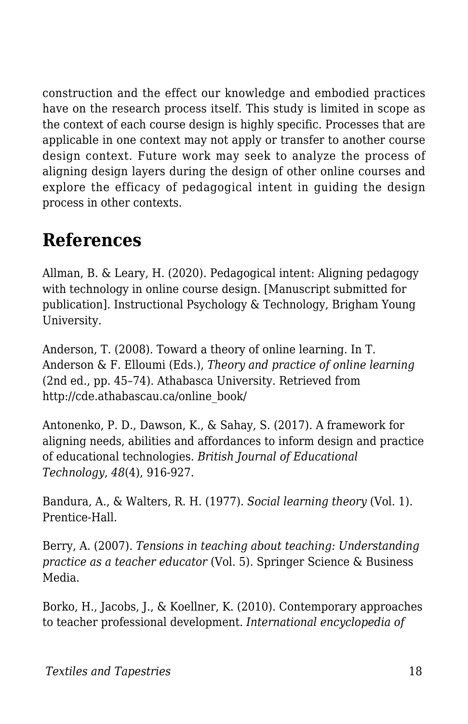construction and the effect our knowledge and embodied practices have on the research process itself. This study is limited in scope as the context of each course design is highly specific. Processes that are applicable in one context may not apply or transfer to another course design context. Future work may seek to analyze the process of aligning design layers during the design of other online courses and explore the efficacy of pedagogical intent in guiding the design process in other contexts.

# **References**

Allman, B. & Leary, H. (2020). Pedagogical intent: Aligning pedagogy with technology in online course design. [Manuscript submitted for publication]. Instructional Psychology & Technology, Brigham Young University.

Anderson, T. (2008). Toward a theory of online learning. In T. Anderson & F. Elloumi (Eds.), *Theory and practice of online learning* (2nd ed., pp. 45–74). Athabasca University. Retrieved from http://cde.athabascau.ca/online\_book/

Antonenko, P. D., Dawson, K., & Sahay, S. (2017). A framework for aligning needs, abilities and affordances to inform design and practice of educational technologies. *British Journal of Educational Technology*, *48*(4), 916-927.

Bandura, A., & Walters, R. H. (1977). *Social learning theory* (Vol. 1). Prentice-Hall.

Berry, A. (2007). *Tensions in teaching about teaching: Understanding practice as a teacher educator* (Vol. 5). Springer Science & Business Media.

Borko, H., Jacobs, J., & Koellner, K. (2010). Contemporary approaches to teacher professional development. *International encyclopedia of*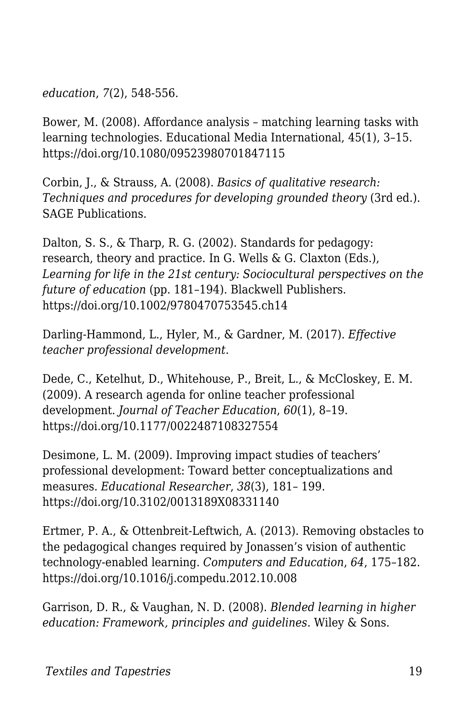*education*, *7*(2), 548-556.

Bower, M. (2008). Affordance analysis – matching learning tasks with learning technologies. Educational Media International, 45(1), 3–15. https://doi.org/10.1080/09523980701847115

Corbin, J., & Strauss, A. (2008). *Basics of qualitative research: Techniques and procedures for developing grounded theory* (3rd ed.). SAGE Publications.

Dalton, S. S., & Tharp, R. G. (2002). Standards for pedagogy: research, theory and practice. In G. Wells & G. Claxton (Eds.), *Learning for life in the 21st century: Sociocultural perspectives on the future of education* (pp. 181–194). Blackwell Publishers. https://doi.org/10.1002/9780470753545.ch14

Darling-Hammond, L., Hyler, M., & Gardner, M. (2017). *Effective teacher professional development*.

Dede, C., Ketelhut, D., Whitehouse, P., Breit, L., & McCloskey, E. M. (2009). A research agenda for online teacher professional development. *Journal of Teacher Education*, *60*(1), 8–19. https://doi.org/10.1177/0022487108327554

Desimone, L. M. (2009). Improving impact studies of teachers' professional development: Toward better conceptualizations and measures. *Educational Researcher*, *38*(3), 181– 199. https://doi.org/10.3102/0013189X08331140

Ertmer, P. A., & Ottenbreit-Leftwich, A. (2013). Removing obstacles to the pedagogical changes required by Jonassen's vision of authentic technology-enabled learning. *Computers and Education*, *64*, 175–182. https://doi.org/10.1016/j.compedu.2012.10.008

Garrison, D. R., & Vaughan, N. D. (2008). *Blended learning in higher education: Framework, principles and guidelines*. Wiley & Sons.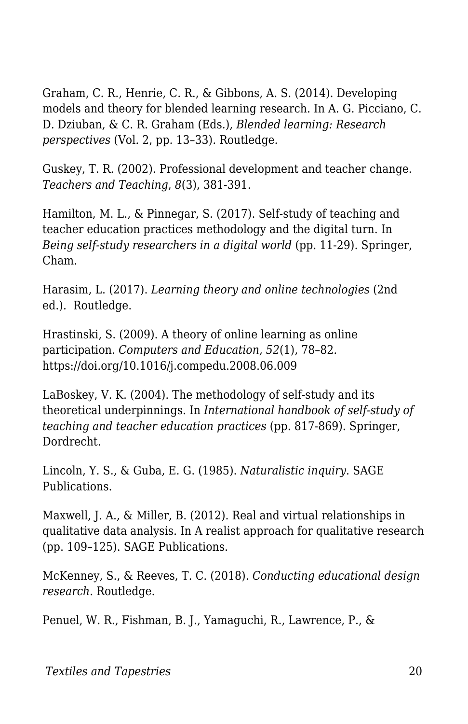Graham, C. R., Henrie, C. R., & Gibbons, A. S. (2014). Developing models and theory for blended learning research. In A. G. Picciano, C. D. Dziuban, & C. R. Graham (Eds.), *Blended learning: Research perspectives* (Vol. 2, pp. 13–33). Routledge.

Guskey, T. R. (2002). Professional development and teacher change. *Teachers and Teaching*, *8*(3), 381-391.

Hamilton, M. L., & Pinnegar, S. (2017). Self-study of teaching and teacher education practices methodology and the digital turn. In *Being self-study researchers in a digital world* (pp. 11-29). Springer, Cham.

Harasim, L. (2017). *Learning theory and online technologies* (2nd ed.). Routledge.

Hrastinski, S. (2009). A theory of online learning as online participation. *Computers and Education, 52*(1), 78–82. https://doi.org/10.1016/j.compedu.2008.06.009

LaBoskey, V. K. (2004). The methodology of self-study and its theoretical underpinnings. In *International handbook of self-study of teaching and teacher education practices* (pp. 817-869). Springer, Dordrecht.

Lincoln, Y. S., & Guba, E. G. (1985). *Naturalistic inquiry*. SAGE Publications.

Maxwell, J. A., & Miller, B. (2012). Real and virtual relationships in qualitative data analysis. In A realist approach for qualitative research (pp. 109–125). SAGE Publications.

McKenney, S., & Reeves, T. C. (2018). *Conducting educational design research*. Routledge.

Penuel, W. R., Fishman, B. J., Yamaguchi, R., Lawrence, P., &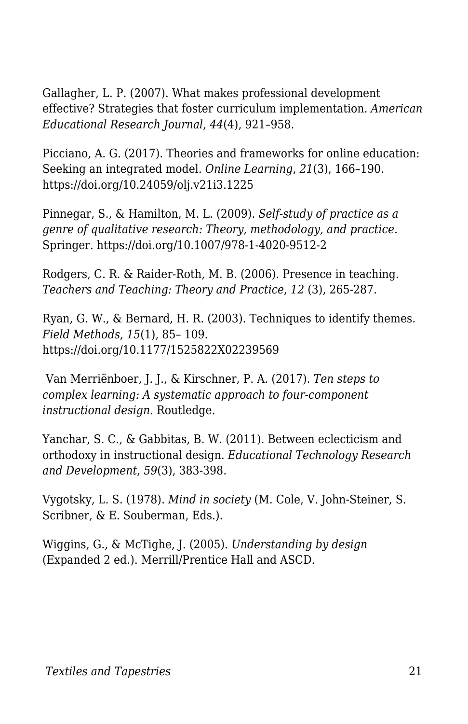Gallagher, L. P. (2007). What makes professional development effective? Strategies that foster curriculum implementation. *American Educational Research Journal*, *44*(4), 921–958.

Picciano, A. G. (2017). Theories and frameworks for online education: Seeking an integrated model. *Online Learning*, *21*(3), 166–190. https://doi.org/10.24059/olj.v21i3.1225

Pinnegar, S., & Hamilton, M. L. (2009). *Self-study of practice as a genre of qualitative research: Theory, methodology, and practice*. Springer. https://doi.org/10.1007/978-1-4020-9512-2

Rodgers, C. R. & Raider-Roth, M. B. (2006). Presence in teaching. *Teachers and Teaching: Theory and Practice*, *12* (3), 265-287.

Ryan, G. W., & Bernard, H. R. (2003). Techniques to identify themes. *Field Methods*, *15*(1), 85– 109. https://doi.org/10.1177/1525822X02239569

 Van Merriënboer, J. J., & Kirschner, P. A. (2017). *Ten steps to complex learning: A systematic approach to four-component instructional design.* Routledge.

Yanchar, S. C., & Gabbitas, B. W. (2011). Between eclecticism and orthodoxy in instructional design. *Educational Technology Research and Development*, *59*(3), 383-398.

Vygotsky, L. S. (1978). *Mind in society* (M. Cole, V. John-Steiner, S. Scribner, & E. Souberman, Eds.).

Wiggins, G., & McTighe, J. (2005). *Understanding by design* (Expanded 2 ed.). Merrill/Prentice Hall and ASCD.